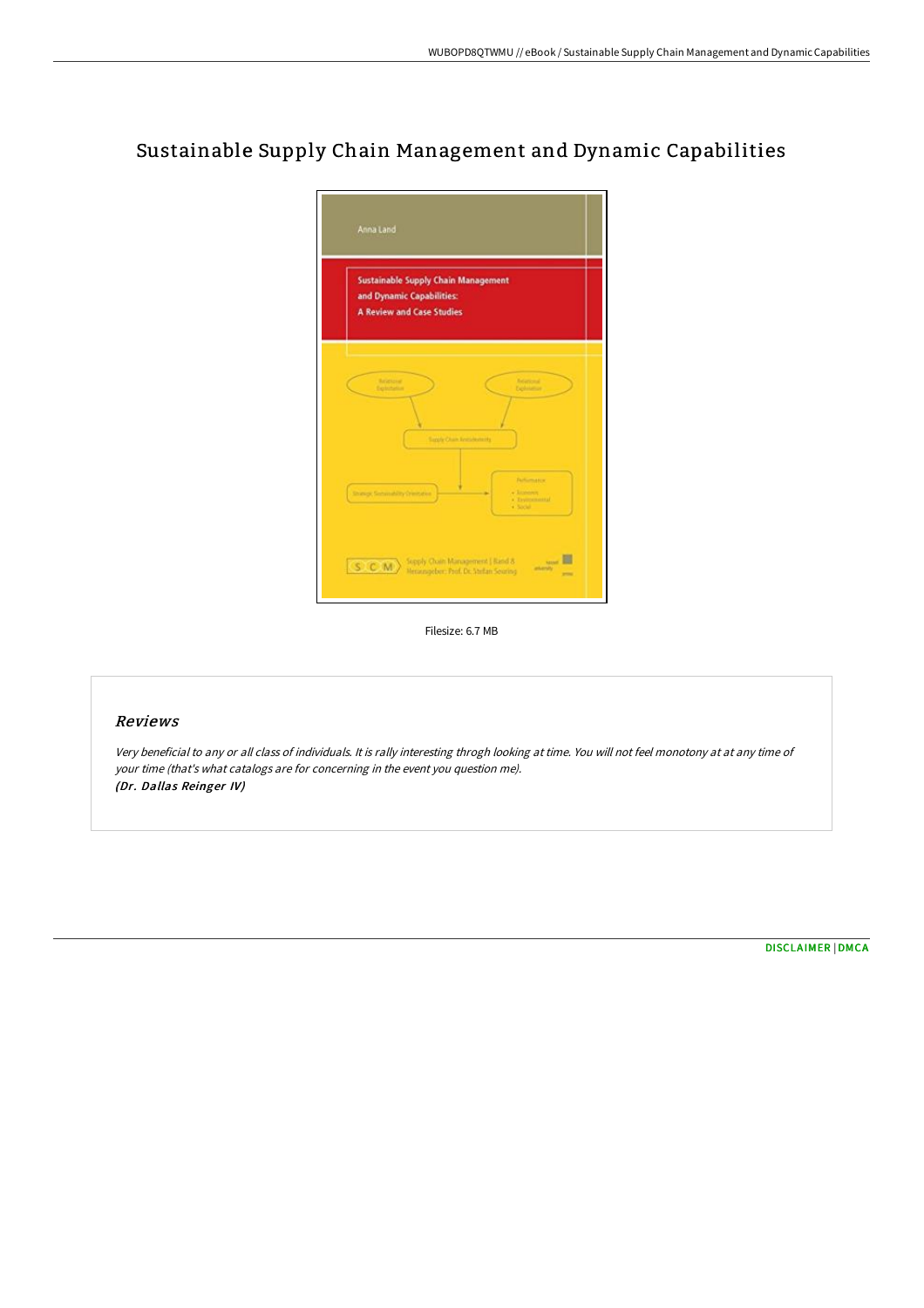# Sustainable Supply Chain Management and Dynamic Capabilities

| <b>Sustainable Supply Chain Management</b><br>and Dynamic Capabilities: |                                   |                                                       |  |
|-------------------------------------------------------------------------|-----------------------------------|-------------------------------------------------------|--|
| <b>A Review and Case Studies</b>                                        |                                   |                                                       |  |
| <b>Relational</b><br>Exclusiveness                                      |                                   | <b><i><u>Relational</u></i></b><br><b>Exploration</b> |  |
|                                                                         | <b>Supply Chain Amerikans (A)</b> |                                                       |  |
|                                                                         |                                   | <b>Factures area</b><br>· Lummer                      |  |
|                                                                         |                                   | a Taylormand<br><b>Charles</b>                        |  |

Filesize: 6.7 MB

## Reviews

Very beneficial to any or all class of individuals. It is rally interesting throgh looking at time. You will not feel monotony at at any time of your time (that's what catalogs are for concerning in the event you question me). (Dr. Dallas Reinger IV)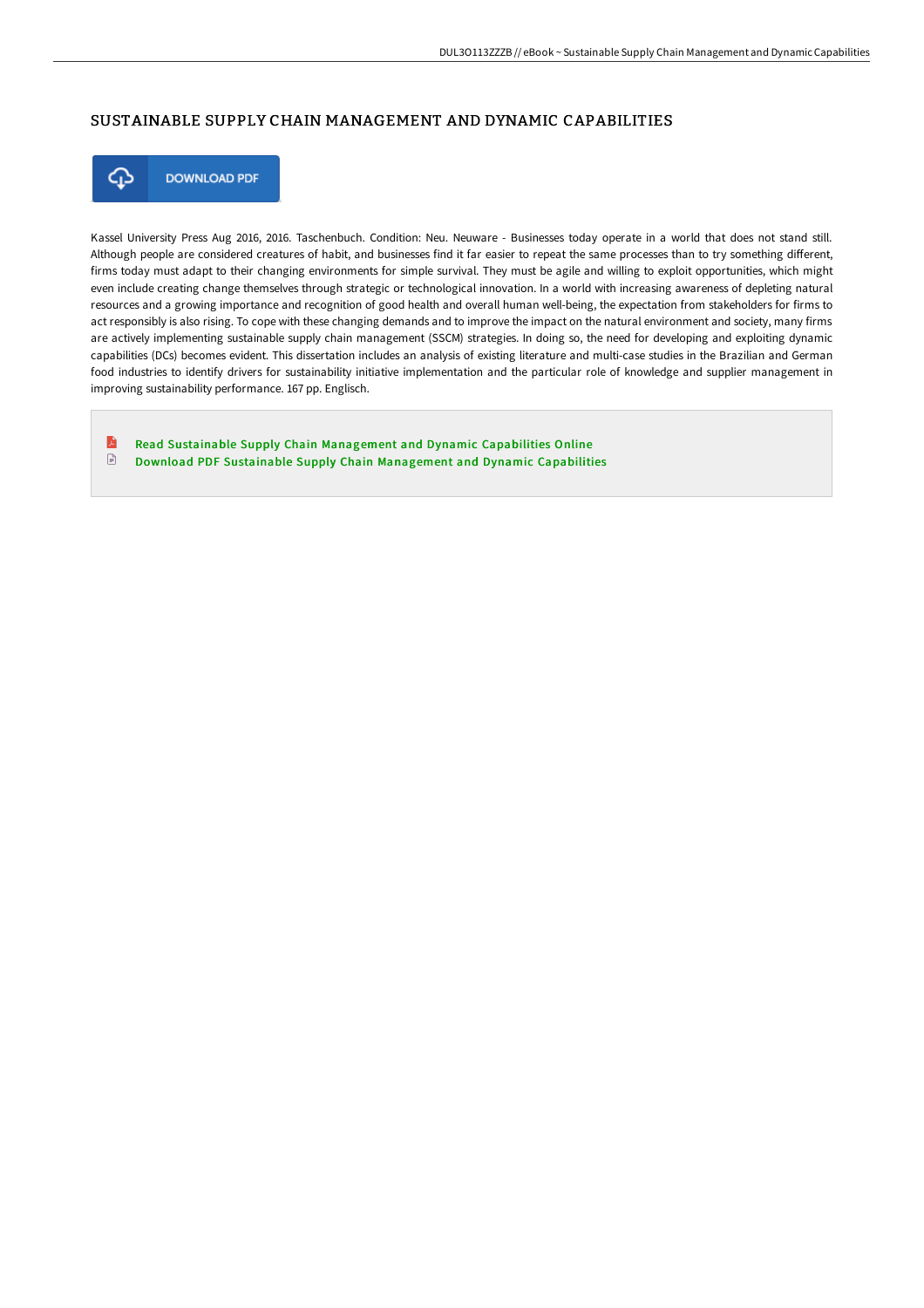### SUSTAINABLE SUPPLY CHAIN MANAGEMENT AND DYNAMIC CAPABILITIES



**DOWNLOAD PDF** 

Kassel University Press Aug 2016, 2016. Taschenbuch. Condition: Neu. Neuware - Businesses today operate in a world that does not stand still. Although people are considered creatures of habit, and businesses find it far easier to repeat the same processes than to try something different, firms today must adapt to their changing environments for simple survival. They must be agile and willing to exploit opportunities, which might even include creating change themselves through strategic or technological innovation. In a world with increasing awareness of depleting natural resources and a growing importance and recognition of good health and overall human well-being, the expectation from stakeholders for firms to act responsibly is also rising. To cope with these changing demands and to improve the impact on the natural environment and society, many firms are actively implementing sustainable supply chain management (SSCM) strategies. In doing so, the need for developing and exploiting dynamic capabilities (DCs) becomes evident. This dissertation includes an analysis of existing literature and multi-case studies in the Brazilian and German food industries to identify drivers for sustainability initiative implementation and the particular role of knowledge and supplier management in improving sustainability performance. 167 pp. Englisch.

B Read Sustainable Supply Chain [Management](http://bookera.tech/sustainable-supply-chain-management-and-dynamic-.html) and Dynamic Capabilities Online  $\textcolor{red}{\Box}$ Download PDF Sustainable Supply Chain [Management](http://bookera.tech/sustainable-supply-chain-management-and-dynamic-.html) and Dynamic Capabilities